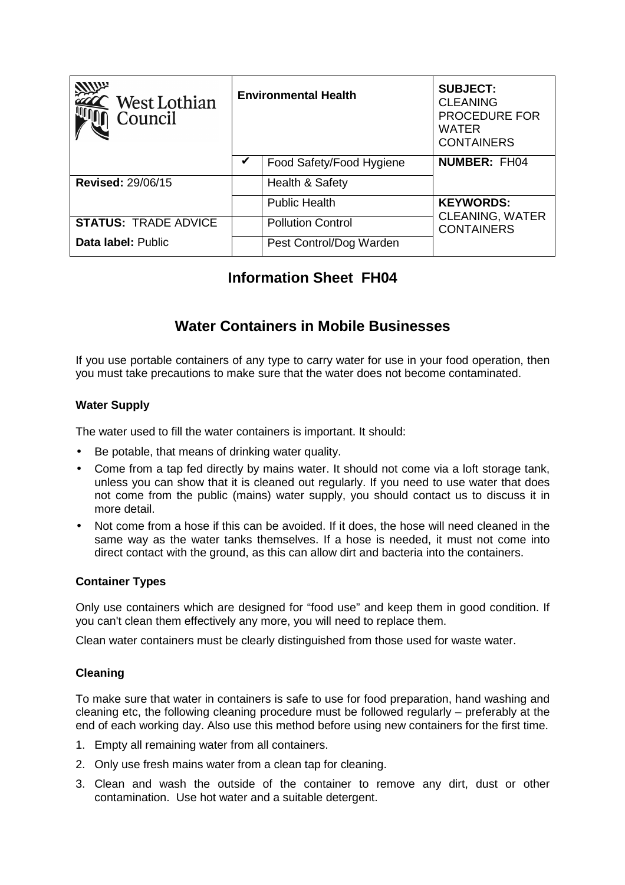| West Lothian<br>Council     | <b>Environmental Health</b> |                          | <b>SUBJECT:</b><br><b>CLEANING</b><br><b>PROCEDURE FOR</b><br><b>WATER</b><br><b>CONTAINERS</b> |
|-----------------------------|-----------------------------|--------------------------|-------------------------------------------------------------------------------------------------|
|                             | V                           | Food Safety/Food Hygiene | <b>NUMBER: FH04</b>                                                                             |
| <b>Revised: 29/06/15</b>    |                             | Health & Safety          |                                                                                                 |
|                             |                             | <b>Public Health</b>     | <b>KEYWORDS:</b>                                                                                |
| <b>STATUS: TRADE ADVICE</b> |                             | <b>Pollution Control</b> | <b>CLEANING, WATER</b><br><b>CONTAINERS</b>                                                     |
| Data label: Public          |                             | Pest Control/Dog Warden  |                                                                                                 |

# **Information Sheet FH04**

# **Water Containers in Mobile Businesses**

If you use portable containers of any type to carry water for use in your food operation, then you must take precautions to make sure that the water does not become contaminated.

## **Water Supply**

The water used to fill the water containers is important. It should:

- Be potable, that means of drinking water quality.
- Come from a tap fed directly by mains water. It should not come via a loft storage tank, unless you can show that it is cleaned out regularly. If you need to use water that does not come from the public (mains) water supply, you should contact us to discuss it in more detail.
- Not come from a hose if this can be avoided. If it does, the hose will need cleaned in the same way as the water tanks themselves. If a hose is needed, it must not come into direct contact with the ground, as this can allow dirt and bacteria into the containers.

## **Container Types**

Only use containers which are designed for "food use" and keep them in good condition. If you can't clean them effectively any more, you will need to replace them.

Clean water containers must be clearly distinguished from those used for waste water.

## **Cleaning**

To make sure that water in containers is safe to use for food preparation, hand washing and cleaning etc, the following cleaning procedure must be followed regularly – preferably at the end of each working day. Also use this method before using new containers for the first time.

- 1. Empty all remaining water from all containers.
- 2. Only use fresh mains water from a clean tap for cleaning.
- 3. Clean and wash the outside of the container to remove any dirt, dust or other contamination. Use hot water and a suitable detergent.